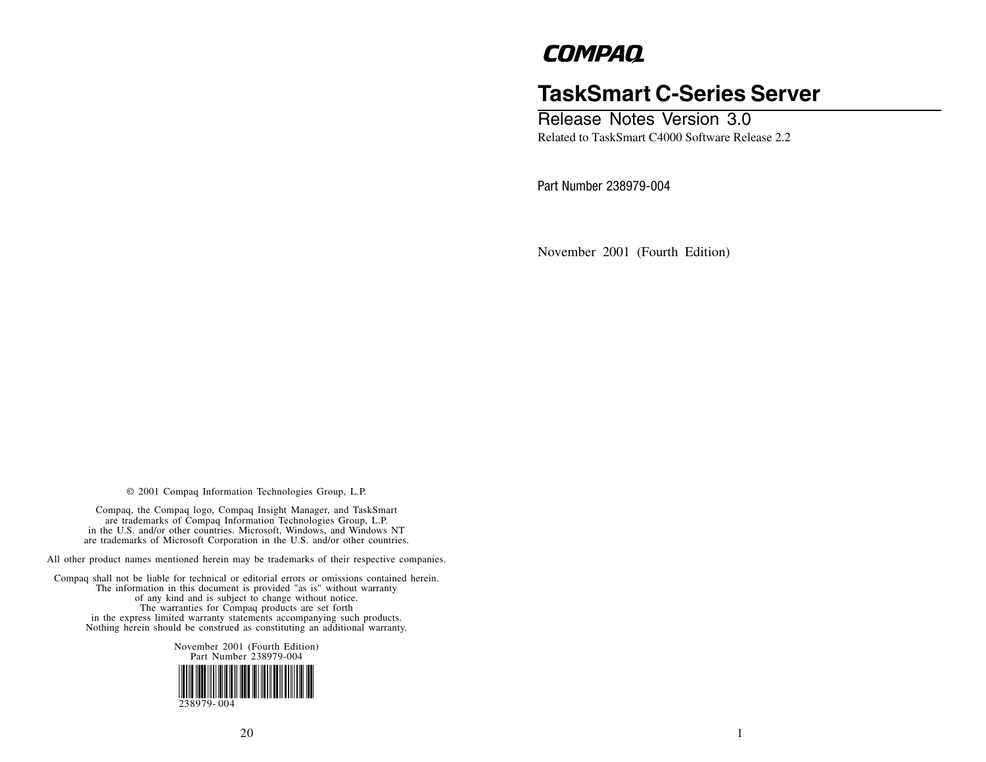# **COMPAQ**

# **TaskSmart C-Series Server**

Release Notes Version 3.0 Related to TaskSmart C4000 Software Release 2.2

Part Number 238979-004

November 2001 (Fourth Edition)

© 2001 Compaq Information Technologies Group, L.P.

Compaq, the Compaq logo, Compaq Insight Manager, and TaskSmart are trademarks of Compaq Information Technologies Group, L.P. in the U.S. and/or other countries. Microsoft, Windows, and Windows NT are trademarks of Microsoft Corporation in the U.S. and/or other countries.

All other product names mentioned herein may be trademarks of their respective companies.

Compaq shall not be liable for technical or editorial errors or omissions contained herein. The information in this document is provided "as is" without warranty of any kind and is subject to change without notice. The warranties for Compaq products are set forth in the express limited warranty statements accompanying such products. Nothing herein should be construed as constituting an additional warranty.

> November 2001 (Fourth Edition) Part Number 238979-004 238979- 004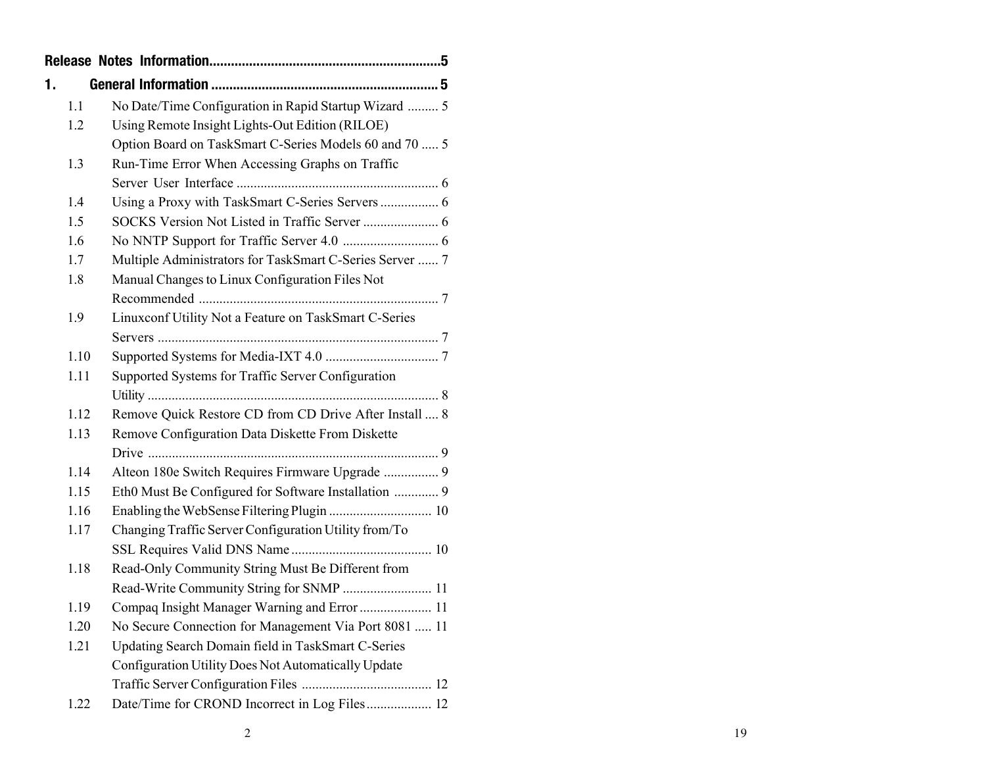| 1. |      |                                                          |
|----|------|----------------------------------------------------------|
|    | 1.1  | No Date/Time Configuration in Rapid Startup Wizard  5    |
|    | 1.2  | Using Remote Insight Lights-Out Edition (RILOE)          |
|    |      | Option Board on TaskSmart C-Series Models 60 and 70  5   |
|    | 1.3  | Run-Time Error When Accessing Graphs on Traffic          |
|    |      |                                                          |
|    | 1.4  | Using a Proxy with TaskSmart C-Series Servers  6         |
|    | 1.5  |                                                          |
|    | 1.6  |                                                          |
|    | 1.7  | Multiple Administrators for TaskSmart C-Series Server  7 |
|    | 1.8  | Manual Changes to Linux Configuration Files Not          |
|    |      |                                                          |
|    | 1.9  | Linuxconf Utility Not a Feature on TaskSmart C-Series    |
|    |      |                                                          |
|    | 1.10 |                                                          |
|    | 1.11 | Supported Systems for Traffic Server Configuration       |
|    |      |                                                          |
|    | 1.12 | Remove Quick Restore CD from CD Drive After Install  8   |
|    | 1.13 | Remove Configuration Data Diskette From Diskette         |
|    |      |                                                          |
|    | 1.14 | Alteon 180e Switch Requires Firmware Upgrade  9          |
|    | 1.15 | Eth0 Must Be Configured for Software Installation  9     |
|    | 1.16 |                                                          |
|    | 1.17 | Changing Traffic Server Configuration Utility from/To    |
|    |      |                                                          |
|    | 1.18 | Read-Only Community String Must Be Different from        |
|    |      | Read-Write Community String for SNMP  11                 |
|    | 1.19 | Compaq Insight Manager Warning and Error  11             |
|    | 1.20 | No Secure Connection for Management Via Port 8081  11    |
|    | 1.21 | Updating Search Domain field in TaskSmart C-Series       |
|    |      | Configuration Utility Does Not Automatically Update      |
|    |      |                                                          |
|    | 1.22 | Date/Time for CROND Incorrect in Log Files 12            |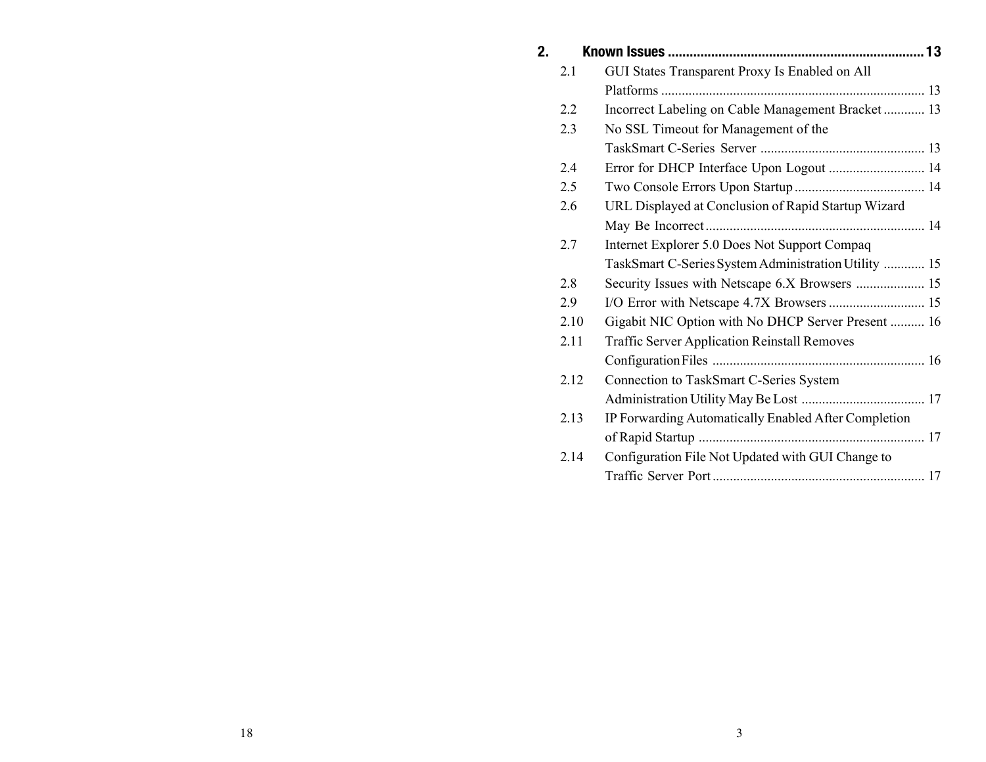| 2. |      |                                                      |  |
|----|------|------------------------------------------------------|--|
|    | 2.1  | GUI States Transparent Proxy Is Enabled on All       |  |
|    |      |                                                      |  |
|    | 2.2  | Incorrect Labeling on Cable Management Bracket  13   |  |
|    | 2.3  | No SSL Timeout for Management of the                 |  |
|    |      |                                                      |  |
|    | 2.4  | Error for DHCP Interface Upon Logout  14             |  |
|    | 2.5  |                                                      |  |
|    | 2.6  | URL Displayed at Conclusion of Rapid Startup Wizard  |  |
|    |      |                                                      |  |
|    | 2.7  | Internet Explorer 5.0 Does Not Support Compaq        |  |
|    |      | TaskSmart C-Series System Administration Utility  15 |  |
|    | 2.8  |                                                      |  |
|    | 2.9  |                                                      |  |
|    | 2.10 | Gigabit NIC Option with No DHCP Server Present  16   |  |
|    | 2.11 | <b>Traffic Server Application Reinstall Removes</b>  |  |
|    |      |                                                      |  |
|    | 2.12 | Connection to TaskSmart C-Series System              |  |
|    |      |                                                      |  |
|    | 2.13 | IP Forwarding Automatically Enabled After Completion |  |
|    |      |                                                      |  |
|    | 2.14 | Configuration File Not Updated with GUI Change to    |  |
|    |      |                                                      |  |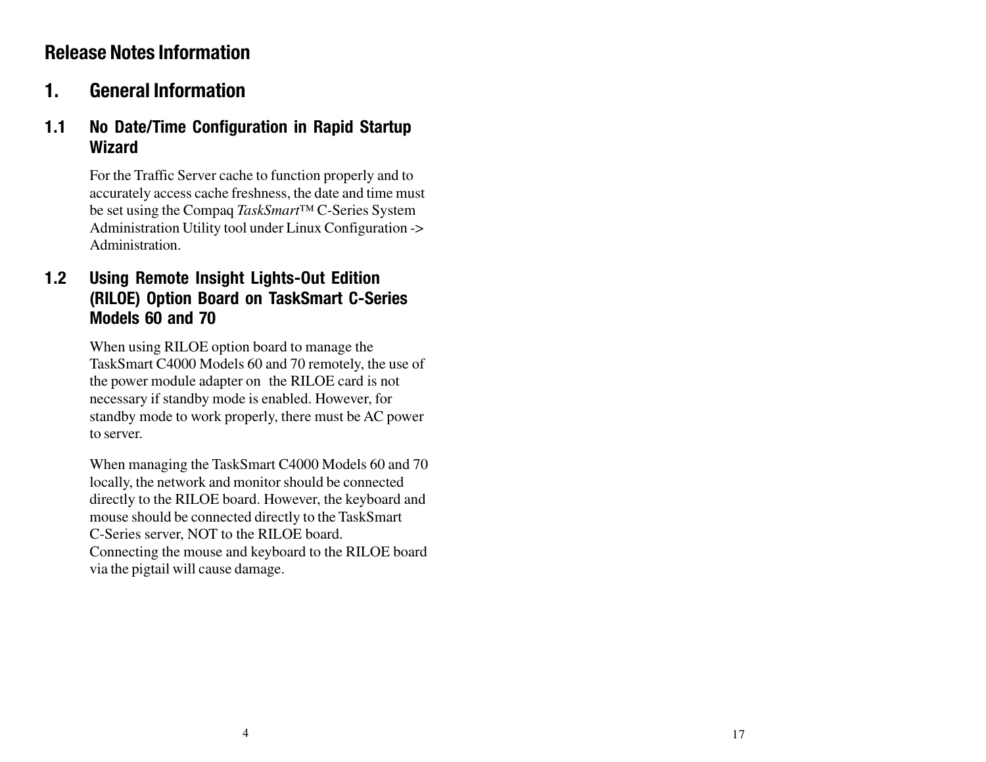# **Release Notes Information**

# **1. General Information**

#### **1.1 No Date/Time Configuration in Rapid Startup Wizard**

For the Traffic Server cache to function properly and to accurately access cache freshness, the date and time must be set using the Compaq *TaskSmart™* C-Series System Administration Utility tool under Linux Configuration -> Administration.

## **1.2 Using Remote Insight Lights-Out Edition (RILOE) Option Board on TaskSmart C-Series Models 60 and 70**

When using RILOE option board to manage the TaskSmart C4000 Models 60 and 70 remotely, the use of the power module adapter on the RILOE card is not necessary if standby mode is enabled. However, for standby mode to work properly, there must be AC power to server.

When managing the TaskSmart C4000 Models 60 and 70 locally, the network and monitor should be connected directly to the RILOE board. However, the keyboard and mouse should be connected directly to the TaskSmart C-Series server, NOT to the RILOE board. Connecting the mouse and keyboard to the RILOE board via the pigtail will cause damage.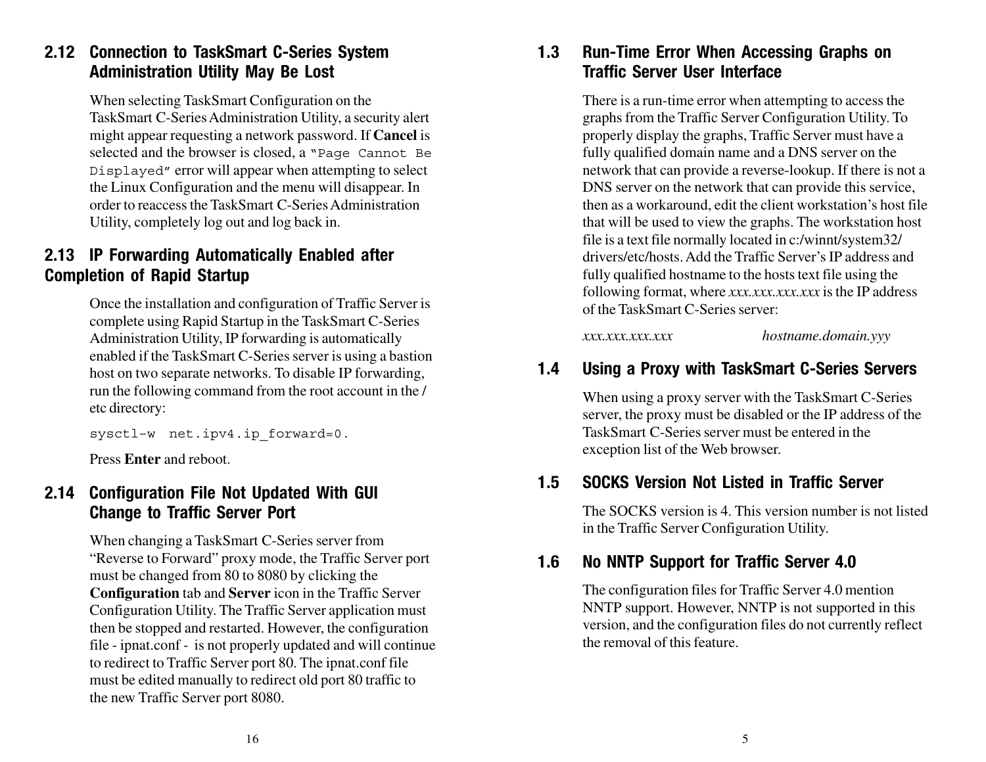## **2.12 Connection to TaskSmart C-Series System Administration Utility May Be Lost**

When selecting TaskSmart Configuration on the TaskSmart C-Series Administration Utility, a security alert might appear requesting a network password. If **Cancel** is selected and the browser is closed, a "Page Cannot Be Displayed" error will appear when attempting to select the Linux Configuration and the menu will disappear. In order to reaccess the TaskSmart C-Series Administration Utility, completely log out and log back in.

#### **2.13 IP Forwarding Automatically Enabled after Completion of Rapid Startup**

Once the installation and configuration of Traffic Server is complete using Rapid Startup in the TaskSmart C-Series Administration Utility, IP forwarding is automatically enabled if the TaskSmart C-Series server is using a bastion host on two separate networks. To disable IP forwarding, run the following command from the root account in the / etc directory:

sysctl-w net.ipv4.ip forward=0.

Press **Enter** and reboot.

#### **2.14 Configuration File Not Updated With GUI Change to Traffic Server Port**

When changing a TaskSmart C-Series server from "Reverse to Forward" proxy mode, the Traffic Server port must be changed from 80 to 8080 by clicking the **Configuration** tab and **Server** icon in the Traffic Server Configuration Utility. The Traffic Server application must then be stopped and restarted. However, the configuration file - ipnat.conf - is not properly updated and will continue to redirect to Traffic Server port 80. The ipnat.conf file must be edited manually to redirect old port 80 traffic to the new Traffic Server port 8080.

#### **1.3 Run-Time Error When Accessing Graphs on Traffic Server User Interface**

There is a run-time error when attempting to access the graphs from the Traffic Server Configuration Utility. To properly display the graphs, Traffic Server must have a fully qualified domain name and a DNS server on the network that can provide a reverse-lookup. If there is not a DNS server on the network that can provide this service, then as a workaround, edit the client workstation's host file that will be used to view the graphs. The workstation host file is a text file normally located in c:/winnt/system32/ drivers/etc/hosts. Add the Traffic Server's IP address and fully qualified hostname to the hosts text file using the following format, where *xxx.xxx.xxx.xxx* is the IP address of the TaskSmart C-Series server:

*xxx.xxx.xxx.xxx hostname.domain.yyy*

#### **1.4 Using a Proxy with TaskSmart C-Series Servers**

When using a proxy server with the TaskSmart C-Series server, the proxy must be disabled or the IP address of the TaskSmart C-Series server must be entered in the exception list of the Web browser.

#### **1.5 SOCKS Version Not Listed in Traffic Server**

The SOCKS version is 4. This version number is not listed in the Traffic Server Configuration Utility.

#### **1.6 No NNTP Support for Traffic Server 4.0**

The configuration files for Traffic Server 4.0 mention NNTP support. However, NNTP is not supported in this version, and the configuration files do not currently reflect the removal of this feature.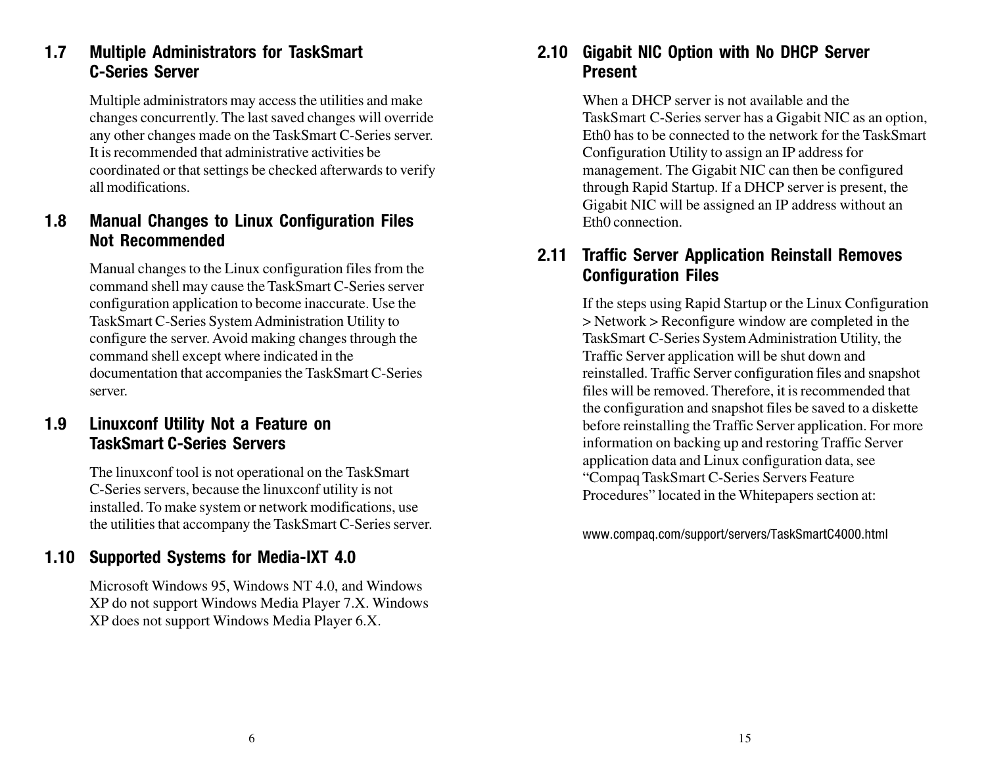# **1.7 Multiple Administrators for TaskSmart C-Series Server**

Multiple administrators may access the utilities and make changes concurrently. The last saved changes will override any other changes made on the TaskSmart C-Series server. It is recommended that administrative activities be coordinated or that settings be checked afterwards to verify all modifications.

#### **1.8 Manual Changes to Linux Configuration Files Not Recommended**

Manual changes to the Linux configuration files from the command shell may cause the TaskSmart C-Series server configuration application to become inaccurate. Use the TaskSmart C-Series System Administration Utility to configure the server. Avoid making changes through the command shell except where indicated in the documentation that accompanies the TaskSmart C-Series server.

## **1.9 Linuxconf Utility Not a Feature on TaskSmart C-Series Servers**

The linuxconf tool is not operational on the TaskSmart C-Series servers, because the linuxconf utility is not installed. To make system or network modifications, use the utilities that accompany the TaskSmart C-Series server.

# **1.10 Supported Systems for Media-IXT 4.0**

Microsoft Windows 95, Windows NT 4.0, and Windows XP do not support Windows Media Player 7.X. Windows XP does not support Windows Media Player 6.X.

#### **2.10 Gigabit NIC Option with No DHCP Server Present**

When a DHCP server is not available and the TaskSmart C-Series server has a Gigabit NIC as an option, Eth0 has to be connected to the network for the TaskSmart Configuration Utility to assign an IP address for management. The Gigabit NIC can then be configured through Rapid Startup. If a DHCP server is present, the Gigabit NIC will be assigned an IP address without an Eth0 connection.

#### **2.11 Traffic Server Application Reinstall Removes Configuration Files**

If the steps using Rapid Startup or the Linux Configuration > Network > Reconfigure window are completed in the TaskSmart C-Series System Administration Utility, the Traffic Server application will be shut down and reinstalled. Traffic Server configuration files and snapshot files will be removed. Therefore, it is recommended that the configuration and snapshot files be saved to a diskette before reinstalling the Traffic Server application. For more information on backing up and restoring Traffic Server application data and Linux configuration data, see "Compaq TaskSmart C-Series Servers Feature Procedures" located in the Whitepapers section at:

www.compaq.com/support/servers/TaskSmartC4000.html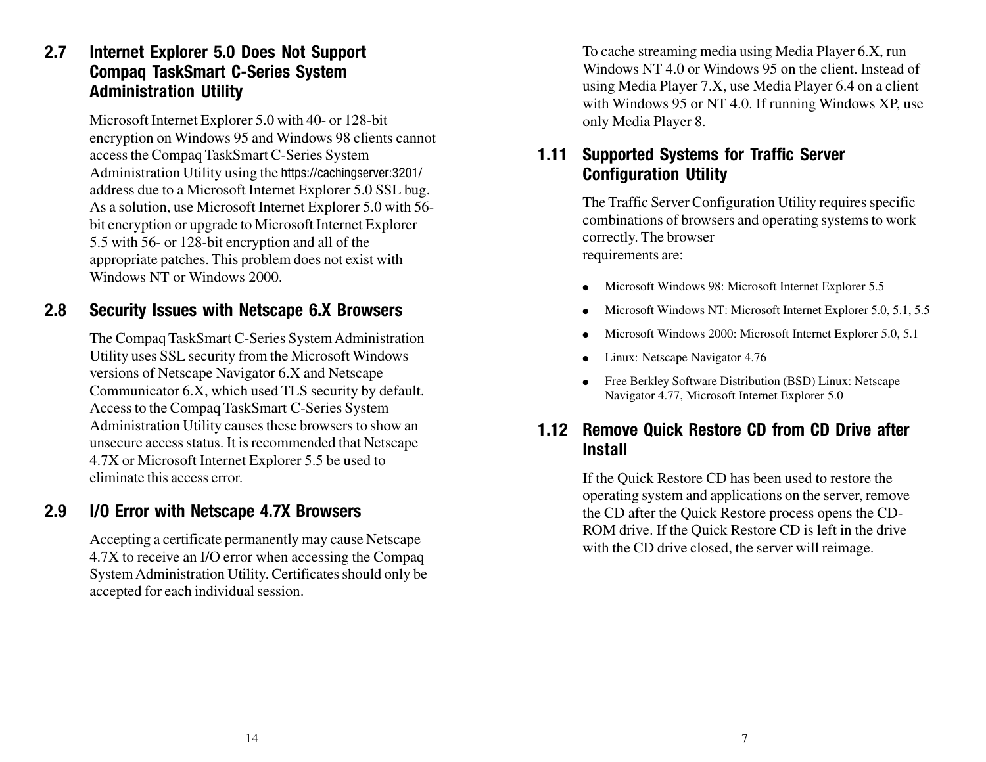#### **2.7 Internet Explorer 5.0 Does Not Support Compaq TaskSmart C-Series System Administration Utility**

Microsoft Internet Explorer 5.0 with 40- or 128-bit encryption on Windows 95 and Windows 98 clients cannot access the Compaq TaskSmart C-Series System Administration Utility using the https://cachingserver:3201/ address due to a Microsoft Internet Explorer 5.0 SSL bug. As a solution, use Microsoft Internet Explorer 5.0 with 56 bit encryption or upgrade to Microsoft Internet Explorer 5.5 with 56- or 128-bit encryption and all of the appropriate patches. This problem does not exist with Windows NT or Windows 2000.

#### **2.8 Security Issues with Netscape 6.X Browsers**

The Compaq TaskSmart C-Series System Administration Utility uses SSL security from the Microsoft Windows versions of Netscape Navigator 6.X and Netscape Communicator 6.X, which used TLS security by default. Access to the Compaq TaskSmart C-Series System Administration Utility causes these browsers to show an unsecure access status. It is recommended that Netscape 4.7X or Microsoft Internet Explorer 5.5 be used to eliminate this access error.

#### **2.9 I/O Error with Netscape 4.7X Browsers**

Accepting a certificate permanently may cause Netscape 4.7X to receive an I/O error when accessing the Compaq System Administration Utility. Certificates should only be accepted for each individual session.

To cache streaming media using Media Player 6.X, run Windows NT 4.0 or Windows 95 on the client. Instead of using Media Player 7.X, use Media Player 6.4 on a client with Windows 95 or NT 4.0. If running Windows XP, use only Media Player 8.

## **1.11 Supported Systems for Traffic Server Configuration Utility**

The Traffic Server Configuration Utility requires specific combinations of browsers and operating systems to work correctly. The browser requirements are:

- Microsoft Windows 98: Microsoft Internet Explorer 5.5
- Microsoft Windows NT: Microsoft Internet Explorer 5.0, 5.1, 5.5
- Microsoft Windows 2000: Microsoft Internet Explorer 5.0, 5.1
- Linux: Netscape Navigator 4.76
- Free Berkley Software Distribution (BSD) Linux: Netscape Navigator 4.77, Microsoft Internet Explorer 5.0

#### **1.12 Remove Quick Restore CD from CD Drive after Install**

If the Quick Restore CD has been used to restore the operating system and applications on the server, remove the CD after the Quick Restore process opens the CD-ROM drive. If the Quick Restore CD is left in the drive with the CD drive closed, the server will reimage.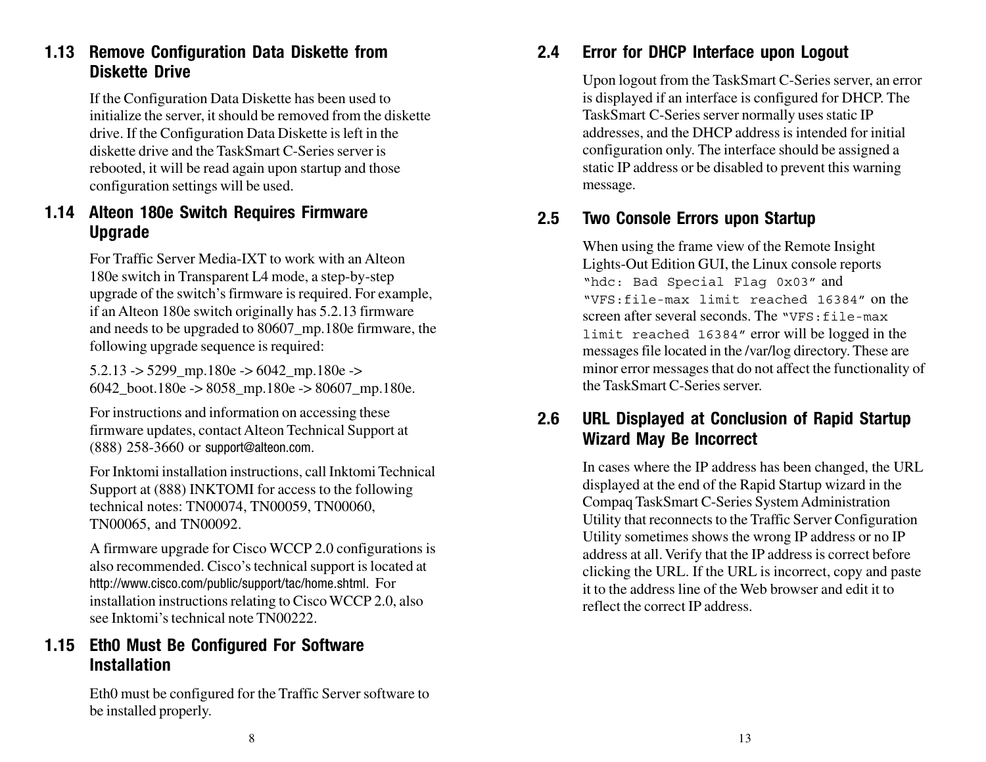## **1.13 Remove Configuration Data Diskette from Diskette Drive**

If the Configuration Data Diskette has been used to initialize the server, it should be removed from the diskette drive. If the Configuration Data Diskette is left in the diskette drive and the TaskSmart C-Series server is rebooted, it will be read again upon startup and those configuration settings will be used.

## **1.14 Alteon 180e Switch Requires Firmware Upgrade**

For Traffic Server Media-IXT to work with an Alteon 180e switch in Transparent L4 mode, a step-by-step upgrade of the switch's firmware is required. For example, if an Alteon 180e switch originally has 5.2.13 firmware and needs to be upgraded to 80607\_mp.180e firmware, the following upgrade sequence is required:

 $5.2.13 \rightarrow 5299$  mp.180e -> 6042 mp.180e -> 6042 boot.180e -> 8058 mp.180e -> 80607 mp.180e.

For instructions and information on accessing these firmware updates, contact Alteon Technical Support at (888) 258-3660 or support@alteon.com.

For Inktomi installation instructions, call Inktomi Technical Support at (888) INKTOMI for access to the following technical notes: TN00074, TN00059, TN00060, TN00065, and TN00092.

A firmware upgrade for Cisco WCCP 2.0 configurations is also recommended. Cisco's technical support is located at http://www.cisco.com/public/support/tac/home.shtml. For installation instructions relating to Cisco WCCP 2.0, also see Inktomi's technical note TN00222.

## **1.15 Eth0 Must Be Configured For Software Installation**

Eth0 must be configured for the Traffic Server software to be installed properly.

# **2.4 Error for DHCP Interface upon Logout**

Upon logout from the TaskSmart C-Series server, an error is displayed if an interface is configured for DHCP. The TaskSmart C-Series server normally uses static IP addresses, and the DHCP address is intended for initial configuration only. The interface should be assigned a static IP address or be disabled to prevent this warning message.

# **2.5 Two Console Errors upon Startup**

When using the frame view of the Remote Insight Lights-Out Edition GUI, the Linux console reports "hdc: Bad Special Flag 0x03" and "VFS:file-max limit reached 16384" on the screen after several seconds. The "VFS: file-max" limit reached 16384" error will be logged in the messages file located in the /var/log directory. These are minor error messages that do not affect the functionality of the TaskSmart C-Series server.

# **2.6 URL Displayed at Conclusion of Rapid Startup Wizard May Be Incorrect**

In cases where the IP address has been changed, the URL displayed at the end of the Rapid Startup wizard in the Compaq TaskSmart C-Series System Administration Utility that reconnects to the Traffic Server Configuration Utility sometimes shows the wrong IP address or no IP address at all. Verify that the IP address is correct before clicking the URL. If the URL is incorrect, copy and paste it to the address line of the Web browser and edit it to reflect the correct IP address.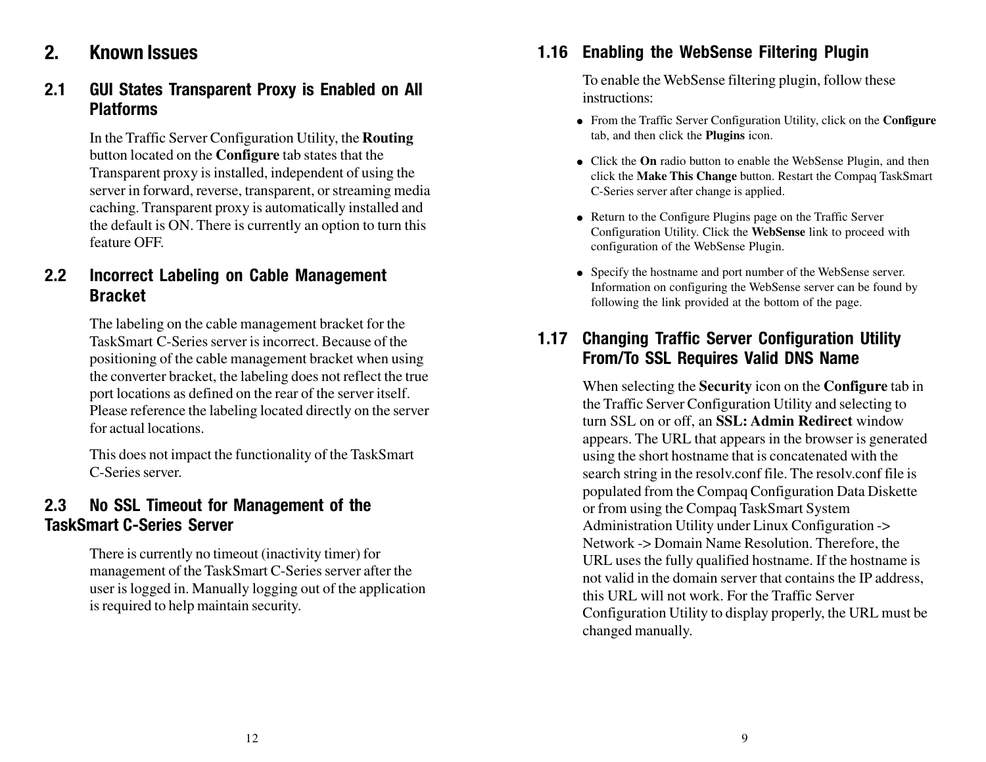# **2. Known Issues**

#### **2.1 GUI States Transparent Proxy is Enabled on All Platforms**

In the Traffic Server Configuration Utility, the **Routing** button located on the **Configure** tab states that the Transparent proxy is installed, independent of using the server in forward, reverse, transparent, or streaming media caching. Transparent proxy is automatically installed and the default is ON. There is currently an option to turn this feature OFF.

#### **2.2 Incorrect Labeling on Cable Management Bracket**

The labeling on the cable management bracket for the TaskSmart C-Series server is incorrect. Because of the positioning of the cable management bracket when using the converter bracket, the labeling does not reflect the true port locations as defined on the rear of the server itself. Please reference the labeling located directly on the server for actual locations.

This does not impact the functionality of the TaskSmart C-Series server.

#### **2.3 No SSL Timeout for Management of the TaskSmart C-Series Server**

There is currently no timeout (inactivity timer) for management of the TaskSmart C-Series server after the user is logged in. Manually logging out of the application is required to help maintain security.

# **1.16 Enabling the WebSense Filtering Plugin**

To enable the WebSense filtering plugin, follow these instructions:

- From the Traffic Server Configuration Utility, click on the **Configure** tab, and then click the **Plugins** icon.
- Click the **On** radio button to enable the WebSense Plugin, and then click the **Make This Change** button. Restart the Compaq TaskSmart C-Series server after change is applied.
- Return to the Configure Plugins page on the Traffic Server Configuration Utility. Click the **WebSense** link to proceed with configuration of the WebSense Plugin.
- Specify the hostname and port number of the WebSense server. Information on configuring the WebSense server can be found by following the link provided at the bottom of the page.

## **1.17 Changing Traffic Server Configuration Utility From/To SSL Requires Valid DNS Name**

When selecting the **Security** icon on the **Configure** tab in the Traffic Server Configuration Utility and selecting to turn SSL on or off, an **SSL: Admin Redirect** window appears. The URL that appears in the browser is generated using the short hostname that is concatenated with the search string in the resolv.conf file. The resolv.conf file is populated from the Compaq Configuration Data Diskette or from using the Compaq TaskSmart System Administration Utility under Linux Configuration -> Network -> Domain Name Resolution. Therefore, the URL uses the fully qualified hostname. If the hostname is not valid in the domain server that contains the IP address, this URL will not work. For the Traffic Server Configuration Utility to display properly, the URL must be changed manually.